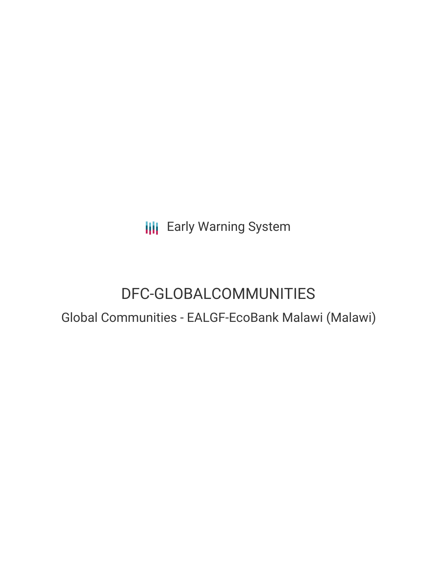**III** Early Warning System

# DFC-GLOBALCOMMUNITIES

Global Communities - EALGF-EcoBank Malawi (Malawi)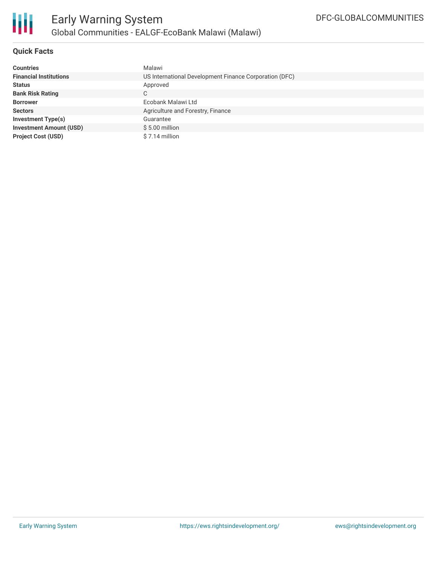

### **Quick Facts**

| <b>Countries</b>               | Malawi                                                 |
|--------------------------------|--------------------------------------------------------|
| <b>Financial Institutions</b>  | US International Development Finance Corporation (DFC) |
| <b>Status</b>                  | Approved                                               |
| <b>Bank Risk Rating</b>        | С                                                      |
| <b>Borrower</b>                | Ecobank Malawi Ltd                                     |
| <b>Sectors</b>                 | Agriculture and Forestry, Finance                      |
| <b>Investment Type(s)</b>      | Guarantee                                              |
| <b>Investment Amount (USD)</b> | $$5.00$ million                                        |
| <b>Project Cost (USD)</b>      | \$7.14 million                                         |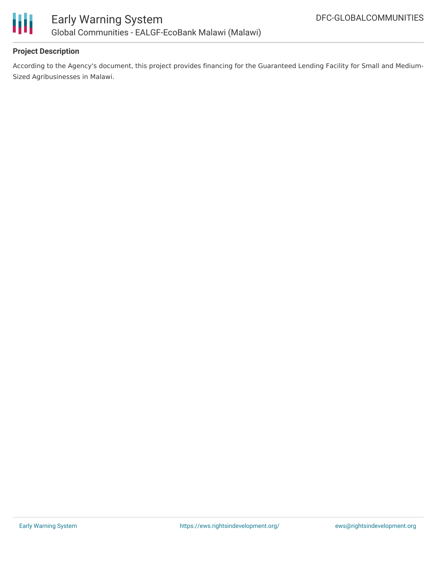

## **Project Description**

According to the Agency's document, this project provides financing for the Guaranteed Lending Facility for Small and Medium-Sized Agribusinesses in Malawi.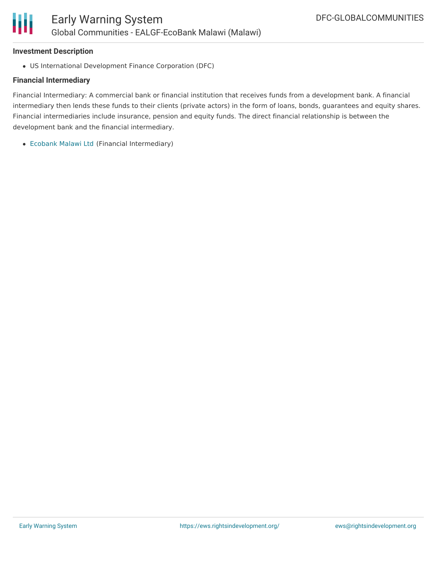#### **Investment Description**

Ш

US International Development Finance Corporation (DFC)

#### **Financial Intermediary**

Financial Intermediary: A commercial bank or financial institution that receives funds from a development bank. A financial intermediary then lends these funds to their clients (private actors) in the form of loans, bonds, guarantees and equity shares. Financial intermediaries include insurance, pension and equity funds. The direct financial relationship is between the development bank and the financial intermediary.

[Ecobank](file:///actor/2283/) Malawi Ltd (Financial Intermediary)